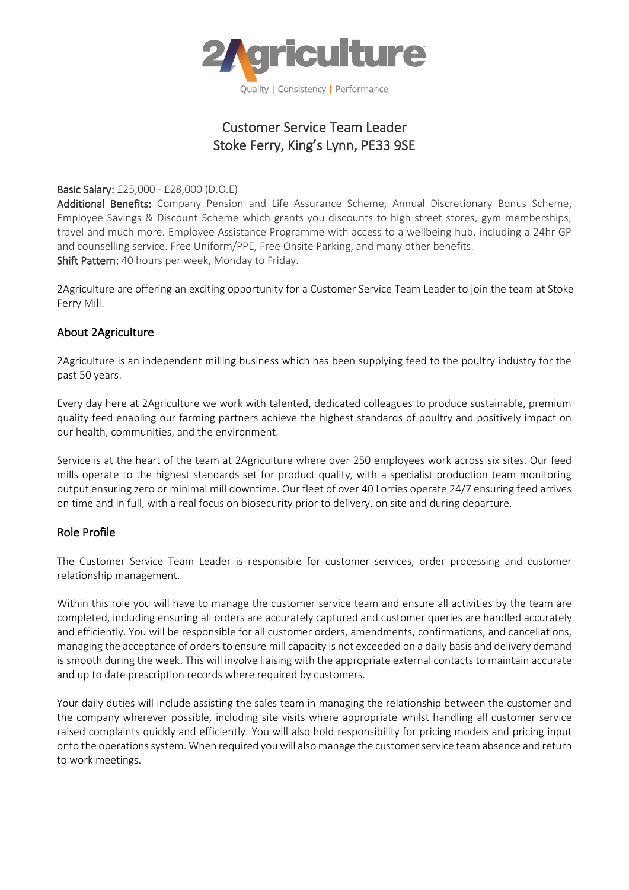

## Customer Service Team Leader Stoke Ferry, King's Lynn, PE33 9SE

Basic Salary: £25,000 - £28,000 (D.O.E)

Additional Benefits: Company Pension and Life Assurance Scheme, Annual Discretionary Bonus Scheme, Employee Savings & Discount Scheme which grants you discounts to high street stores, gym memberships, travel and much more. Employee Assistance Programme with access to a wellbeing hub, including a 24hr GP and counselling service. Free Uniform/PPE, Free Onsite Parking, and many other benefits. Shift Pattern: 40 hours per week, Monday to Friday.

2Agriculture are offering an exciting opportunity for a Customer Service Team Leader to join the team at Stoke Ferry Mill.

## About 2Agriculture

2Agriculture is an independent milling business which has been supplying feed to the poultry industry for the past 50 years.

Every day here at 2Agriculture we work with talented, dedicated colleagues to produce sustainable, premium quality feed enabling our farming partners achieve the highest standards of poultry and positively impact on our health, communities, and the environment.

Service is at the heart of the team at 2Agriculture where over 250 employees work across six sites. Our feed mills operate to the highest standards set for product quality, with a specialist production team monitoring output ensuring zero or minimal mill downtime. Our fleet of over 40 Lorries operate 24/7 ensuring feed arrives on time and in full, with a real focus on biosecurity prior to delivery, on site and during departure.

## Role Profile

The Customer Service Team Leader is responsible for customer services, order processing and customer relationship management.

Within this role you will have to manage the customer service team and ensure all activities by the team are completed, including ensuring all orders are accurately captured and customer queries are handled accurately and efficiently. You will be responsible for all customer orders, amendments, confirmations, and cancellations, managing the acceptance of orders to ensure mill capacity is not exceeded on a daily basis and delivery demand is smooth during the week. This will involve liaising with the appropriate external contacts to maintain accurate and up to date prescription records where required by customers.

Your daily duties will include assisting the sales team in managing the relationship between the customer and the company wherever possible, including site visits where appropriate whilst handling all customer service raised complaints quickly and efficiently. You will also hold responsibility for pricing models and pricing input onto the operations system. When required you will also manage the customer service team absence and return to work meetings.